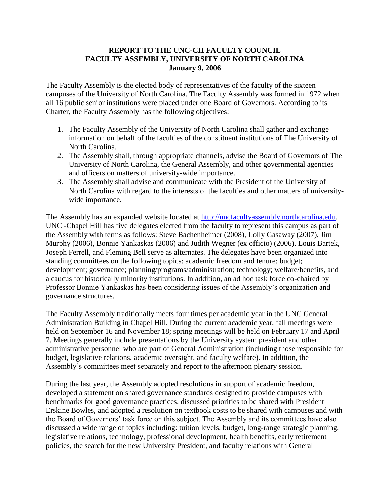## **REPORT TO THE UNC-CH FACULTY COUNCIL FACULTY ASSEMBLY, UNIVERSITY OF NORTH CAROLINA January 9, 2006**

The Faculty Assembly is the elected body of representatives of the faculty of the sixteen campuses of the University of North Carolina. The Faculty Assembly was formed in 1972 when all 16 public senior institutions were placed under one Board of Governors. According to its Charter, the Faculty Assembly has the following objectives:

- 1. The Faculty Assembly of the University of North Carolina shall gather and exchange information on behalf of the faculties of the constituent institutions of The University of North Carolina.
- 2. The Assembly shall, through appropriate channels, advise the Board of Governors of The University of North Carolina, the General Assembly, and other governmental agencies and officers on matters of university-wide importance.
- 3. The Assembly shall advise and communicate with the President of the University of North Carolina with regard to the interests of the faculties and other matters of universitywide importance.

The Assembly has an expanded website located at [http://uncfacultyassembly.northcarolina.edu.](http://uncfacultyassembly.northcarolina.edu/) UNC -Chapel Hill has five delegates elected from the faculty to represent this campus as part of the Assembly with terms as follows: Steve Bachenheimer (2008), Lolly Gasaway (2007), Jim Murphy (2006), Bonnie Yankaskas (2006) and Judith Wegner (ex officio) (2006). Louis Bartek, Joseph Ferrell, and Fleming Bell serve as alternates. The delegates have been organized into standing committees on the following topics: academic freedom and tenure; budget; development; governance; planning/programs/administration; technology; welfare/benefits, and a caucus for historically minority institutions. In addition, an ad hoc task force co-chaired by Professor Bonnie Yankaskas has been considering issues of the Assembly's organization and governance structures.

The Faculty Assembly traditionally meets four times per academic year in the UNC General Administration Building in Chapel Hill. During the current academic year, fall meetings were held on September 16 and November 18; spring meetings will be held on February 17 and April 7. Meetings generally include presentations by the University system president and other administrative personnel who are part of General Administration (including those responsible for budget, legislative relations, academic oversight, and faculty welfare). In addition, the Assembly's committees meet separately and report to the afternoon plenary session.

During the last year, the Assembly adopted resolutions in support of academic freedom, developed a statement on shared governance standards designed to provide campuses with benchmarks for good governance practices, discussed priorities to be shared with President Erskine Bowles, and adopted a resolution on textbook costs to be shared with campuses and with the Board of Governors' task force on this subject. The Assembly and its committees have also discussed a wide range of topics including: tuition levels, budget, long-range strategic planning, legislative relations, technology, professional development, health benefits, early retirement policies, the search for the new University President, and faculty relations with General